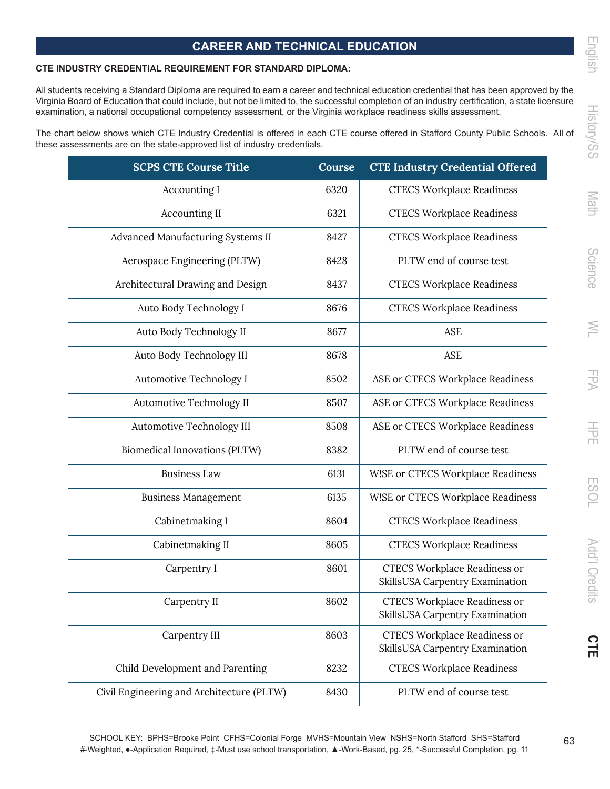## **CAREER AND TECHNICAL EDUCATION**

## **CTE INDUSTRY CREDENTIAL REQUIREMENT FOR STANDARD DIPLOMA:**

All students receiving a Standard Diploma are required to earn a career and technical education credential that has been approved by the Virginia Board of Education that could include, but not be limited to, the successful completion of an industry certification, a state licensure examination, a national occupational competency assessment, or the Virginia workplace readiness skills assessment.

The chart below shows which CTE Industry Credential is offered in each CTE course offered in Stafford County Public Schools. All of these assessments are on the state-approved list of industry credentials.

| <b>SCPS CTE Course Title</b>              | Course | <b>CTE Industry Credential Offered</b>                                 |
|-------------------------------------------|--------|------------------------------------------------------------------------|
| Accounting I                              | 6320   | <b>CTECS Workplace Readiness</b>                                       |
| <b>Accounting II</b>                      | 6321   | <b>CTECS Workplace Readiness</b>                                       |
| Advanced Manufacturing Systems II         | 8427   | <b>CTECS Workplace Readiness</b>                                       |
| Aerospace Engineering (PLTW)              | 8428   | PLTW end of course test                                                |
| Architectural Drawing and Design          | 8437   | <b>CTECS Workplace Readiness</b>                                       |
| Auto Body Technology I                    | 8676   | <b>CTECS Workplace Readiness</b>                                       |
| Auto Body Technology II                   | 8677   | <b>ASE</b>                                                             |
| Auto Body Technology III                  | 8678   | <b>ASE</b>                                                             |
| Automotive Technology I                   | 8502   | ASE or CTECS Workplace Readiness                                       |
| Automotive Technology II                  | 8507   | ASE or CTECS Workplace Readiness                                       |
| Automotive Technology III                 | 8508   | ASE or CTECS Workplace Readiness                                       |
| Biomedical Innovations (PLTW)             | 8382   | PLTW end of course test                                                |
| <b>Business Law</b>                       | 6131   | W!SE or CTECS Workplace Readiness                                      |
| <b>Business Management</b>                | 6135   | W!SE or CTECS Workplace Readiness                                      |
| Cabinetmaking I                           | 8604   | <b>CTECS Workplace Readiness</b>                                       |
| Cabinetmaking II                          | 8605   | <b>CTECS Workplace Readiness</b>                                       |
| Carpentry I                               | 8601   | <b>CTECS Workplace Readiness or</b><br>SkillsUSA Carpentry Examination |
| Carpentry II                              | 8602   | <b>CTECS Workplace Readiness or</b><br>SkillsUSA Carpentry Examination |
| Carpentry III                             | 8603   | <b>CTECS Workplace Readiness or</b><br>SkillsUSA Carpentry Examination |
| Child Development and Parenting           | 8232   | <b>CTECS Workplace Readiness</b>                                       |
| Civil Engineering and Architecture (PLTW) | 8430   | PLTW end of course test                                                |

Math

m<br>00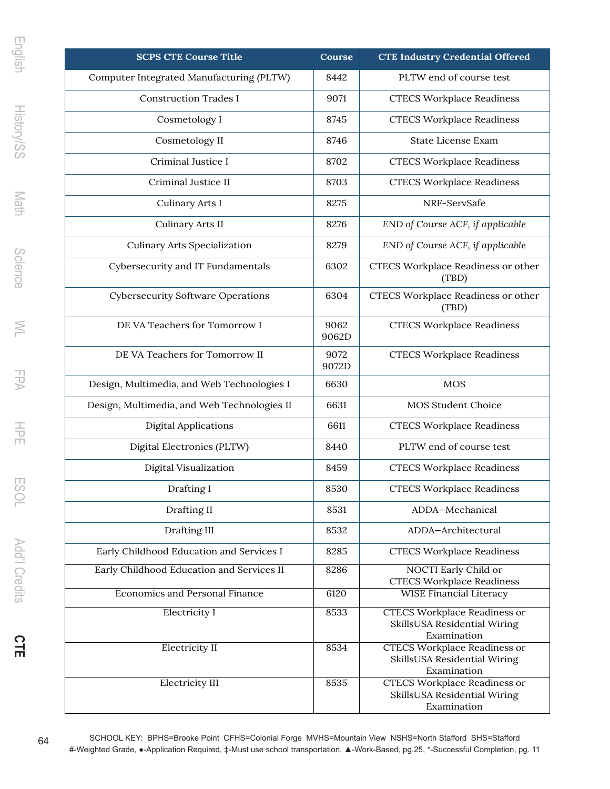| <b>SCPS CTE Course Title</b>                | Course        | <b>CTE Industry Credential Offered</b>                                             |
|---------------------------------------------|---------------|------------------------------------------------------------------------------------|
| Computer Integrated Manufacturing (PLTW)    | 8442          | PLTW end of course test                                                            |
| <b>Construction Trades I</b>                | 9071          | <b>CTECS Workplace Readiness</b>                                                   |
| Cosmetology I                               | 8745          | <b>CTECS Workplace Readiness</b>                                                   |
| Cosmetology II                              | 8746          | <b>State License Exam</b>                                                          |
| Criminal Justice I                          | 8702          | <b>CTECS Workplace Readiness</b>                                                   |
| Criminal Justice II                         | 8703          | <b>CTECS Workplace Readiness</b>                                                   |
| Culinary Arts I                             | 8275          | NRF-ServSafe                                                                       |
| Culinary Arts II                            | 8276          | END of Course ACF, if applicable                                                   |
| <b>Culinary Arts Specialization</b>         | 8279          | END of Course ACF, if applicable                                                   |
| Cybersecurity and IT Fundamentals           | 6302          | CTECS Workplace Readiness or other<br>(TBD)                                        |
| <b>Cybersecurity Software Operations</b>    | 6304          | CTECS Workplace Readiness or other<br>(TBD)                                        |
| DE VA Teachers for Tomorrow I               | 9062<br>9062D | <b>CTECS Workplace Readiness</b>                                                   |
| DE VA Teachers for Tomorrow II              | 9072<br>9072D | <b>CTECS Workplace Readiness</b>                                                   |
| Design, Multimedia, and Web Technologies I  | 6630          | <b>MOS</b>                                                                         |
| Design, Multimedia, and Web Technologies II | 6631          | <b>MOS Student Choice</b>                                                          |
| <b>Digital Applications</b>                 | 6611          | <b>CTECS Workplace Readiness</b>                                                   |
| Digital Electronics (PLTW)                  | 8440          | PLTW end of course test                                                            |
| Digital Visualization                       | 8459          | <b>CTECS Workplace Readiness</b>                                                   |
| Drafting I                                  | 8530          | <b>CTECS Workplace Readiness</b>                                                   |
| Drafting II                                 | 8531          | ADDA-Mechanical                                                                    |
| Drafting III                                | 8532          | ADDA-Architectural                                                                 |
| Early Childhood Education and Services I    | 8285          | <b>CTECS Workplace Readiness</b>                                                   |
| Early Childhood Education and Services II   | 8286          | NOCTI Early Child or<br><b>CTECS Workplace Readiness</b>                           |
| <b>Economics and Personal Finance</b>       | 6120          | WISE Financial Literacy                                                            |
| Electricity I                               | 8533          | <b>CTECS Workplace Readiness or</b><br>SkillsUSA Residential Wiring<br>Examination |
| <b>Electricity II</b>                       | 8534          | <b>CTECS Workplace Readiness or</b><br>SkillsUSA Residential Wiring<br>Examination |
| <b>Electricity III</b>                      | 8535          | <b>CTECS Workplace Readiness or</b><br>SkillsUSA Residential Wiring<br>Examination |

SCHOOL KEY: BPHS=Brooke Point CFHS=Colonial Forge MVHS=Mountain View NSHS=North Stafford SHS=Stafford #-Weighted Grade, **●**-Application Required, ‡-Must use school transportation, ▲-Work-Based, pg.25, \*-Successful Completion, pg. 11

**CTE**

ESOL Add'l Credits

English History/SS Math Science WL FPA HPE ESOL Add'l Credits

 $\geq$ 

 $VdI$ 

 $\frac{1}{2}$ 

Science

English

History/SS

Math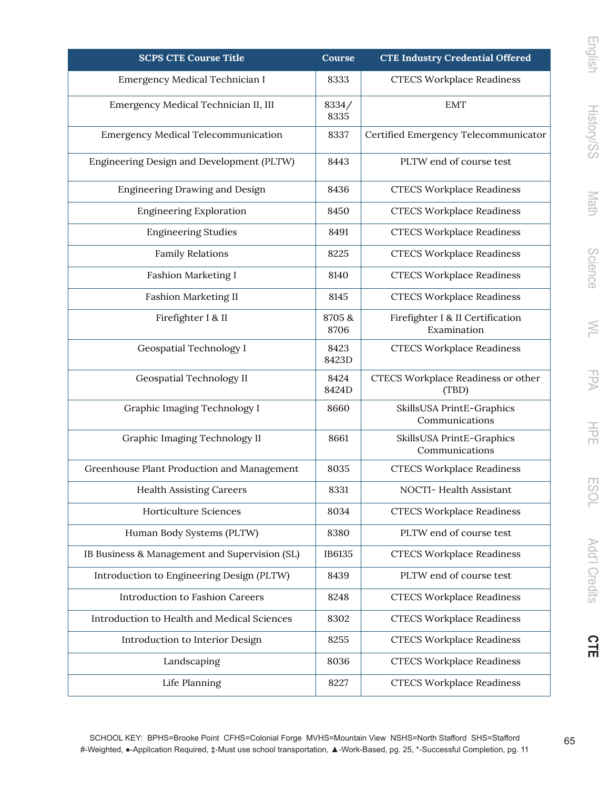| <b>SCPS CTE Course Title</b>                  | Course        | <b>CTE Industry Credential Offered</b>          |
|-----------------------------------------------|---------------|-------------------------------------------------|
| Emergency Medical Technician I                | 8333          | <b>CTECS Workplace Readiness</b>                |
| Emergency Medical Technician II, III          | 8334/<br>8335 | <b>EMT</b>                                      |
| <b>Emergency Medical Telecommunication</b>    | 8337          | Certified Emergency Telecommunicator            |
| Engineering Design and Development (PLTW)     | 8443          | PLTW end of course test                         |
| <b>Engineering Drawing and Design</b>         | 8436          | <b>CTECS Workplace Readiness</b>                |
| <b>Engineering Exploration</b>                | 8450          | <b>CTECS Workplace Readiness</b>                |
| <b>Engineering Studies</b>                    | 8491          | <b>CTECS Workplace Readiness</b>                |
| <b>Family Relations</b>                       | 8225          | <b>CTECS Workplace Readiness</b>                |
| <b>Fashion Marketing I</b>                    | 8140          | <b>CTECS Workplace Readiness</b>                |
| <b>Fashion Marketing II</b>                   | 8145          | <b>CTECS Workplace Readiness</b>                |
| Firefighter I & II                            | 8705&<br>8706 | Firefighter I & II Certification<br>Examination |
| <b>Geospatial Technology I</b>                | 8423<br>8423D | <b>CTECS Workplace Readiness</b>                |
| Geospatial Technology II                      | 8424<br>8424D | CTECS Workplace Readiness or other<br>(TBD)     |
| Graphic Imaging Technology I                  | 8660          | SkillsUSA PrintE-Graphics<br>Communications     |
| Graphic Imaging Technology II                 | 8661          | SkillsUSA PrintE-Graphics<br>Communications     |
| Greenhouse Plant Production and Management    | 8035          | <b>CTECS Workplace Readiness</b>                |
| <b>Health Assisting Careers</b>               | 8331          | NOCTI- Health Assistant                         |
| Horticulture Sciences                         | 8034          | <b>CTECS Workplace Readiness</b>                |
| Human Body Systems (PLTW)                     | 8380          | PLTW end of course test                         |
| IB Business & Management and Supervision (SL) | IB6135        | <b>CTECS Workplace Readiness</b>                |
| Introduction to Engineering Design (PLTW)     | 8439          | PLTW end of course test                         |
| Introduction to Fashion Careers               | 8248          | <b>CTECS Workplace Readiness</b>                |
| Introduction to Health and Medical Sciences   | 8302          | <b>CTECS Workplace Readiness</b>                |
| Introduction to Interior Design               | 8255          | <b>CTECS Workplace Readiness</b>                |
| Landscaping                                   | 8036          | <b>CTECS Workplace Readiness</b>                |
| Life Planning                                 | 8227          | <b>CTECS Workplace Readiness</b>                |

English

English History/SS Math Science WL FPA HPE ESOL Add'l Credits **History/SS** Math Science  $\geq$ FPA

玉 **ESOL** Add'l Credits

**CTE**

SCHOOL KEY: BPHS=Brooke Point CFHS=Colonial Forge MVHS=Mountain View NSHS=North Stafford SHS=Stafford #-Weighted, **●**-Application Required, ‡-Must use school transportation, ▲-Work-Based, pg. 25, \*-Successful Completion, pg. 11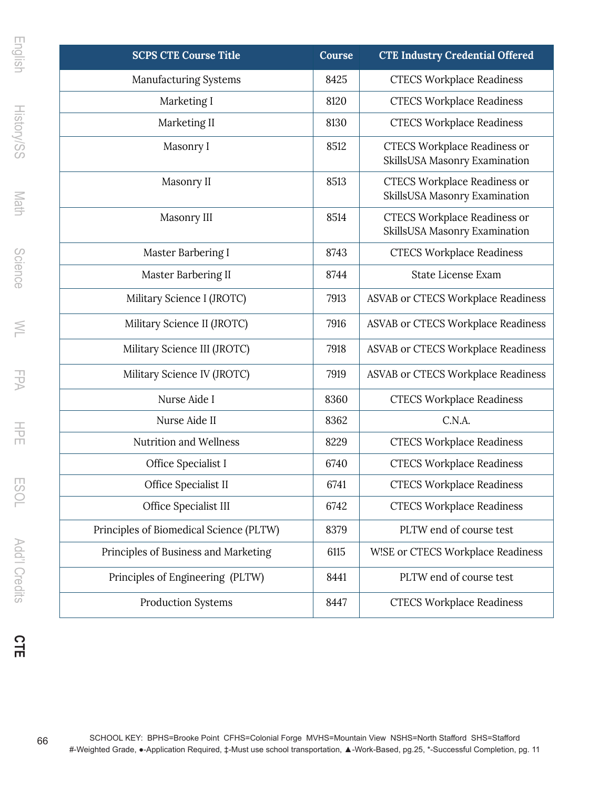| <b>SCPS CTE Course Title</b>            | Course | <b>CTE Industry Credential Offered</b>                               |
|-----------------------------------------|--------|----------------------------------------------------------------------|
| <b>Manufacturing Systems</b>            | 8425   | <b>CTECS Workplace Readiness</b>                                     |
| Marketing I                             | 8120   | <b>CTECS Workplace Readiness</b>                                     |
| Marketing II                            | 8130   | <b>CTECS Workplace Readiness</b>                                     |
| Masonry I                               | 8512   | <b>CTECS Workplace Readiness or</b><br>SkillsUSA Masonry Examination |
| Masonry II                              | 8513   | <b>CTECS Workplace Readiness or</b><br>SkillsUSA Masonry Examination |
| Masonry III                             | 8514   | <b>CTECS Workplace Readiness or</b><br>SkillsUSA Masonry Examination |
| Master Barbering I                      | 8743   | <b>CTECS Workplace Readiness</b>                                     |
| Master Barbering II                     | 8744   | <b>State License Exam</b>                                            |
| Military Science I (JROTC)              | 7913   | ASVAB or CTECS Workplace Readiness                                   |
| Military Science II (JROTC)             | 7916   | ASVAB or CTECS Workplace Readiness                                   |
| Military Science III (JROTC)            | 7918   | ASVAB or CTECS Workplace Readiness                                   |
| Military Science IV (JROTC)             | 7919   | ASVAB or CTECS Workplace Readiness                                   |
| Nurse Aide I                            | 8360   | <b>CTECS Workplace Readiness</b>                                     |
| Nurse Aide II                           | 8362   | C.N.A.                                                               |
| Nutrition and Wellness                  | 8229   | <b>CTECS Workplace Readiness</b>                                     |
| Office Specialist I                     | 6740   | <b>CTECS Workplace Readiness</b>                                     |
| Office Specialist II                    | 6741   | <b>CTECS Workplace Readiness</b>                                     |
| Office Specialist III                   | 6742   | <b>CTECS Workplace Readiness</b>                                     |
| Principles of Biomedical Science (PLTW) | 8379   | PLTW end of course test                                              |
| Principles of Business and Marketing    | 6115   | W!SE or CTECS Workplace Readiness                                    |
| Principles of Engineering (PLTW)        | 8441   | PLTW end of course test                                              |
| Production Systems                      | 8447   | <b>CTECS Workplace Readiness</b>                                     |

**CTE**